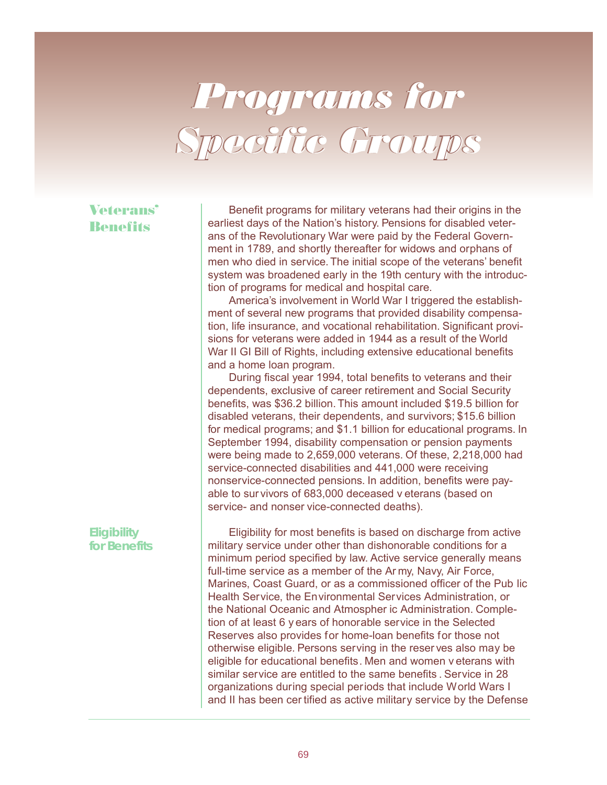# Programs for Specific Groups

## Veterans Benefits

 Benefit programs for military veterans had their origins in the earliest days of the Nation's history. Pensions for disabled veterans of the Revolutionary War were paid by the Federal Government in 1789, and shortly thereafter for widows and orphans of men who died in service. The initial scope of the veterans' benefit system was broadened early in the 19th century with the introduction of programs for medical and hospital care.

 America's involvement in World War I triggered the establishment of several new programs that provided disability compensation, life insurance, and vocational rehabilitation. Significant provisions for veterans were added in 1944 as a result of the World War II GI Bill of Rights, including extensive educational benefits and a home loan program.

 During fiscal year 1994, total benefits to veterans and their dependents, exclusive of career retirement and Social Security benefits, was \$36.2 billion. This amount included \$19.5 billion for disabled veterans, their dependents, and survivors; \$15.6 billion for medical programs; and \$1.1 billion for educational programs. In September 1994, disability compensation or pension payments were being made to 2,659,000 veterans. Of these, 2,218,000 had service-connected disabilities and 441,000 were receiving nonservice-connected pensions. In addition, benefits were payable to sur vivors of 683,000 deceased v eterans (based on service- and nonser vice-connected deaths).

### *Eligibility for Benefits*

 Eligibility for most benefits is based on discharge from active military service under other than dishonorable conditions for a minimum period specified by law. Active service generally means full-time service as a member of the Ar my, Navy, Air Force, Marines, Coast Guard, or as a commissioned officer of the Pub lic Health Service, the Environmental Services Administration, or the National Oceanic and Atmospher ic Administration. Completion of at least 6 y ears of honorable service in the Selected Reserves also provides for home-loan benefits for those not otherwise eligible. Persons serving in the reser ves also may be eligible for educational benefits. Men and women v eterans with similar service are entitled to the same benefits . Service in 28 organizations during special periods that include World Wars I and II has been cer tified as active military service by the Defense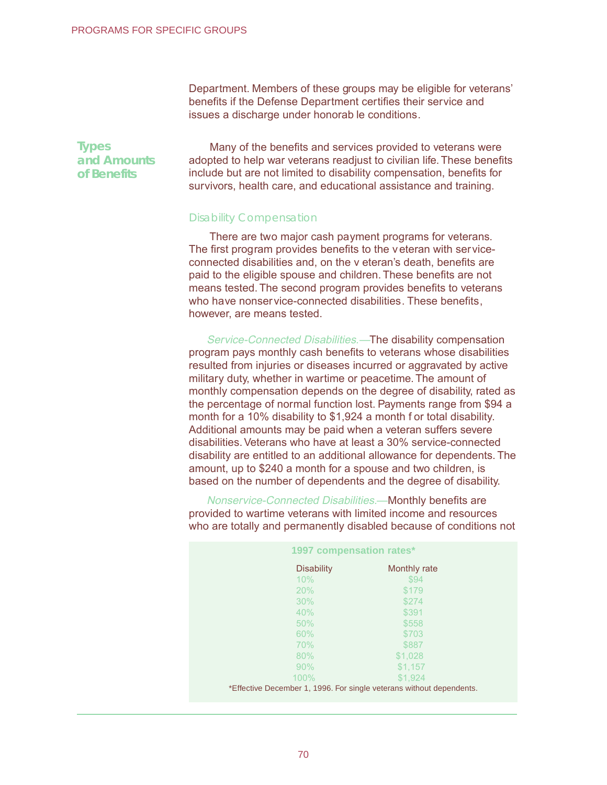Department. Members of these groups may be eligible for veterans' benefits if the Defense Department certifies their service and issues a discharge under honorab le conditions.

 Many of the benefits and services provided to veterans were adopted to help war veterans readjust to civilian life. These benefits include but are not limited to disability compensation, benefits for survivors, health care, and educational assistance and training.

### Disability Compensation

Service-Connected Disabilities.—The disability compensation program pays monthly cash benefits to veterans whose disabilities resulted from injuries or diseases incurred or aggravated by active military duty, whether in wartime or peacetime. The amount of monthly compensation depends on the degree of disability, rated as the percentage of normal function lost. Payments range from \$94 a month for a 10% disability to \$1,924 a month f or total disability. Additional amounts may be paid when a veteran suffers severe disabilities. Veterans who have at least a 30% service-connected disability are entitled to an additional allowance for dependents. The amount, up to \$240 a month for a spouse and two children, is based on the number of dependents and the degree of disability.

Nonservice-Connected Disabilities.—Monthly benefits are provided to wartime veterans with limited income and resources who are totally and permanently disabled because of conditions not

| PROGRAMS FOR SPECIFIC GROUPS               |                                                                                                                                                                                                                                                                                                                                                                                                                                                                                                                                                                                                                                                                                                                                                                                                                     |  |
|--------------------------------------------|---------------------------------------------------------------------------------------------------------------------------------------------------------------------------------------------------------------------------------------------------------------------------------------------------------------------------------------------------------------------------------------------------------------------------------------------------------------------------------------------------------------------------------------------------------------------------------------------------------------------------------------------------------------------------------------------------------------------------------------------------------------------------------------------------------------------|--|
|                                            | Department. Members of these groups may be eligible for veter<br>benefits if the Defense Department certifies their service and<br>issues a discharge under honorab le conditions.                                                                                                                                                                                                                                                                                                                                                                                                                                                                                                                                                                                                                                  |  |
| <b>Types</b><br>and Amounts<br>of Benefits | Many of the benefits and services provided to veterans we<br>adopted to help war veterans readjust to civilian life. These ben<br>include but are not limited to disability compensation, benefits t<br>survivors, health care, and educational assistance and training                                                                                                                                                                                                                                                                                                                                                                                                                                                                                                                                             |  |
|                                            | <b>Disability Compensation</b>                                                                                                                                                                                                                                                                                                                                                                                                                                                                                                                                                                                                                                                                                                                                                                                      |  |
|                                            | There are two major cash payment programs for veterans.<br>The first program provides benefits to the veteran with service<br>connected disabilities and, on the v eteran's death, benefits are<br>paid to the eligible spouse and children. These benefits are not<br>means tested. The second program provides benefits to vetera<br>who have nonservice-connected disabilities. These benefits,<br>however, are means tested.                                                                                                                                                                                                                                                                                                                                                                                    |  |
|                                            | Service-Connected Disabilities.-The disability compensati<br>program pays monthly cash benefits to veterans whose disabili<br>resulted from injuries or diseases incurred or aggravated by ac<br>military duty, whether in wartime or peacetime. The amount of<br>monthly compensation depends on the degree of disability, rate<br>the percentage of normal function lost. Payments range from \$<br>month for a 10% disability to \$1,924 a month f or total disability<br>Additional amounts may be paid when a veteran suffers severe<br>disabilities. Veterans who have at least a 30% service-connecte<br>disability are entitled to an additional allowance for dependents<br>amount, up to \$240 a month for a spouse and two children, is<br>based on the number of dependents and the degree of disabilit |  |
|                                            | Nonservice-Connected Disabilities.-Monthly benefits are<br>provided to wartime veterans with limited income and resource<br>who are totally and permanently disabled because of condition                                                                                                                                                                                                                                                                                                                                                                                                                                                                                                                                                                                                                           |  |
|                                            | 1997 compensation rates*                                                                                                                                                                                                                                                                                                                                                                                                                                                                                                                                                                                                                                                                                                                                                                                            |  |
|                                            | <b>Disability</b><br>Monthly rate<br>10%<br>\$94<br>20%<br>\$179<br>30%<br>\$274<br>40%<br>\$391<br>50%<br>\$558<br>60%<br>\$703<br>70%<br>\$887<br>80%<br>\$1,028<br>90%<br>\$1,157<br>100%<br>\$1,924<br>*Effective December 1, 1996. For single veterans without dependents.                                                                                                                                                                                                                                                                                                                                                                                                                                                                                                                                     |  |
|                                            |                                                                                                                                                                                                                                                                                                                                                                                                                                                                                                                                                                                                                                                                                                                                                                                                                     |  |
|                                            | 70                                                                                                                                                                                                                                                                                                                                                                                                                                                                                                                                                                                                                                                                                                                                                                                                                  |  |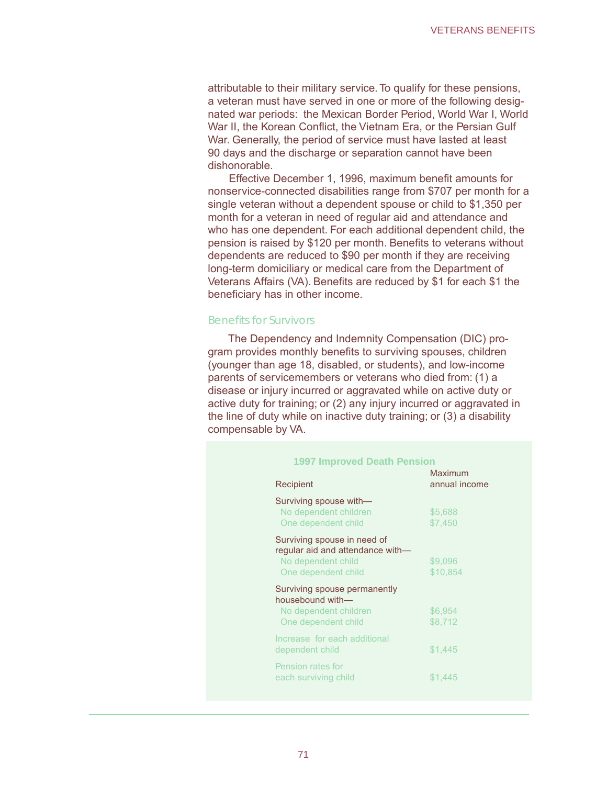#### Benefits for Survivors

|                      |                                                                                                                                                                                                                                                                                                                                                                                                                                                                                                                                                                                                                                         | <b>VETERANS BENEFITS</b> |
|----------------------|-----------------------------------------------------------------------------------------------------------------------------------------------------------------------------------------------------------------------------------------------------------------------------------------------------------------------------------------------------------------------------------------------------------------------------------------------------------------------------------------------------------------------------------------------------------------------------------------------------------------------------------------|--------------------------|
| honorable.           | ributable to their military service. To qualify for these pensions,<br>eteran must have served in one or more of the following desig-<br>ted war periods: the Mexican Border Period, World War I, World<br>ar II, the Korean Conflict, the Vietnam Era, or the Persian Gulf<br>ar. Generally, the period of service must have lasted at least<br>days and the discharge or separation cannot have been                                                                                                                                                                                                                                  |                          |
|                      | Effective December 1, 1996, maximum benefit amounts for<br>nservice-connected disabilities range from \$707 per month for a<br>gle veteran without a dependent spouse or child to \$1,350 per<br>onth for a veteran in need of regular aid and attendance and<br>to has one dependent. For each additional dependent child, the<br>nsion is raised by \$120 per month. Benefits to veterans without<br>pendents are reduced to \$90 per month if they are receiving<br>g-term domiciliary or medical care from the Department of<br>terans Affairs (VA). Benefits are reduced by \$1 for each \$1 the<br>neficiary has in other income. |                          |
| nefits for Survivors |                                                                                                                                                                                                                                                                                                                                                                                                                                                                                                                                                                                                                                         |                          |
| mpensable by VA.     | The Dependency and Indemnity Compensation (DIC) pro-<br>am provides monthly benefits to surviving spouses, children<br>ounger than age 18, disabled, or students), and low-income<br>rents of servicemembers or veterans who died from: (1) a<br>ease or injury incurred or aggravated while on active duty or<br>tive duty for training; or (2) any injury incurred or aggravated in<br>Ine of duty while on inactive duty training; or (3) a disability                                                                                                                                                                               |                          |
|                      | <b>1997 Improved Death Pension</b>                                                                                                                                                                                                                                                                                                                                                                                                                                                                                                                                                                                                      |                          |
|                      | Recipient                                                                                                                                                                                                                                                                                                                                                                                                                                                                                                                                                                                                                               | Maximum<br>annual income |
|                      | Surviving spouse with-<br>No dependent children<br>One dependent child                                                                                                                                                                                                                                                                                                                                                                                                                                                                                                                                                                  | \$5,688<br>\$7,450       |
|                      | Surviving spouse in need of<br>regular aid and attendance with-<br>No dependent child<br>One dependent child                                                                                                                                                                                                                                                                                                                                                                                                                                                                                                                            | \$9,096<br>\$10,854      |
|                      | Surviving spouse permanently<br>housebound with-<br>No dependent children<br>One dependent child                                                                                                                                                                                                                                                                                                                                                                                                                                                                                                                                        | \$6,954<br>\$8,712       |
|                      | Increase for each additional<br>dependent child                                                                                                                                                                                                                                                                                                                                                                                                                                                                                                                                                                                         | \$1,445                  |
|                      | Pension rates for<br>each surviving child                                                                                                                                                                                                                                                                                                                                                                                                                                                                                                                                                                                               | \$1,445                  |
|                      |                                                                                                                                                                                                                                                                                                                                                                                                                                                                                                                                                                                                                                         |                          |
|                      |                                                                                                                                                                                                                                                                                                                                                                                                                                                                                                                                                                                                                                         |                          |
|                      | 71                                                                                                                                                                                                                                                                                                                                                                                                                                                                                                                                                                                                                                      |                          |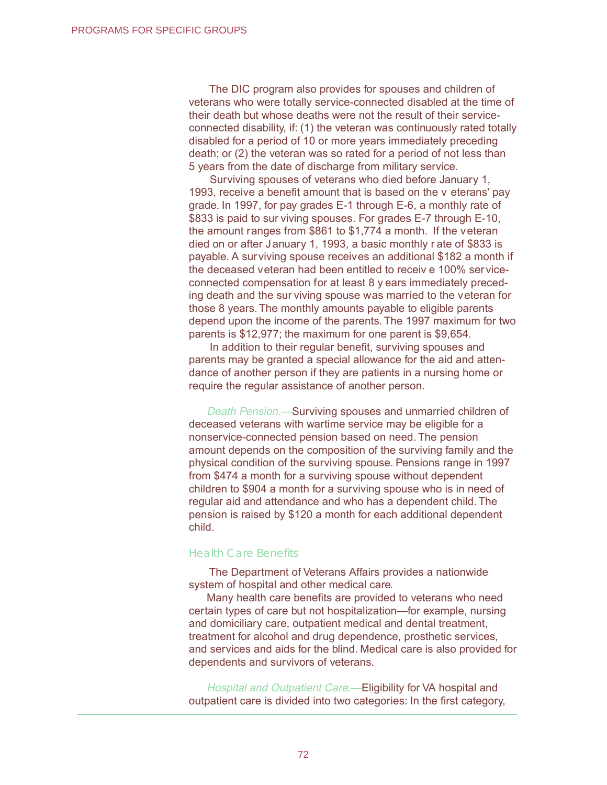The DIC program also provides for spouses and children of veterans who were totally service-connected disabled at the time of their death but whose deaths were not the result of their serviceconnected disability, if: (1) the veteran was continuously rated totally disabled for a period of 10 or more years immediately preceding death; or (2) the veteran was so rated for a period of not less than 5 years from the date of discharge from military service.

 Surviving spouses of veterans who died before January 1, 1993, receive a benefit amount that is based on the v eterans' pay grade. In 1997, for pay grades E-1 through E-6, a monthly rate of \$833 is paid to sur viving spouses. For grades E-7 through E-10, the amount ranges from \$861 to \$1,774 a month. If the veteran died on or after January 1, 1993, a basic monthly r ate of \$833 is payable. A surviving spouse receives an additional \$182 a month if the deceased veteran had been entitled to receiv e 100% serviceconnected compensation for at least 8 y ears immediately preceding death and the sur viving spouse was married to the veteran for those 8 years. The monthly amounts payable to eligible parents depend upon the income of the parents. The 1997 maximum for two parents is \$12,977; the maximum for one parent is \$9,654. PROGRAMS FOR SPECIFIC GROUPS<br>
The DIC program als<br>
veterans who were totalls<br>
their dreath but whose details<br>
connected disability, if: (1<br>
disability of raperion the date of the period of 1<br>
death; or (2) the veteran<br>
5 y

 In addition to their regular benefit, surviving spouses and parents may be granted a special allowance for the aid and attendance of another person if they are patients in a nursing home or require the regular assistance of another person.

Death Pension.—Surviving spouses and unmarried children of deceased veterans with wartime service may be eligible for a nonservice-connected pension based on need. The pension amount depends on the composition of the surviving family and the physical condition of the surviving spouse. Pensions range in 1997 from \$474 a month for a surviving spouse without dependent children to \$904 a month for a surviving spouse who is in need of regular aid and attendance and who has a dependent child. The pension is raised by \$120 a month for each additional dependent child.

#### Health Care Benefits

The Department of Veterans Affairs provides a nationwide system of hospital and other medical care.

Many health care benefits are provided to veterans who need certain types of care but not hospitalization—for example, nursing and domiciliary care, outpatient medical and dental treatment, treatment for alcohol and drug dependence, prosthetic services, and services and aids for the blind. Medical care is also provided for dependents and survivors of veterans.

Hospital and Outpatient Care.—Eligibility for VA hospital and outpatient care is divided into two categories: In the first category,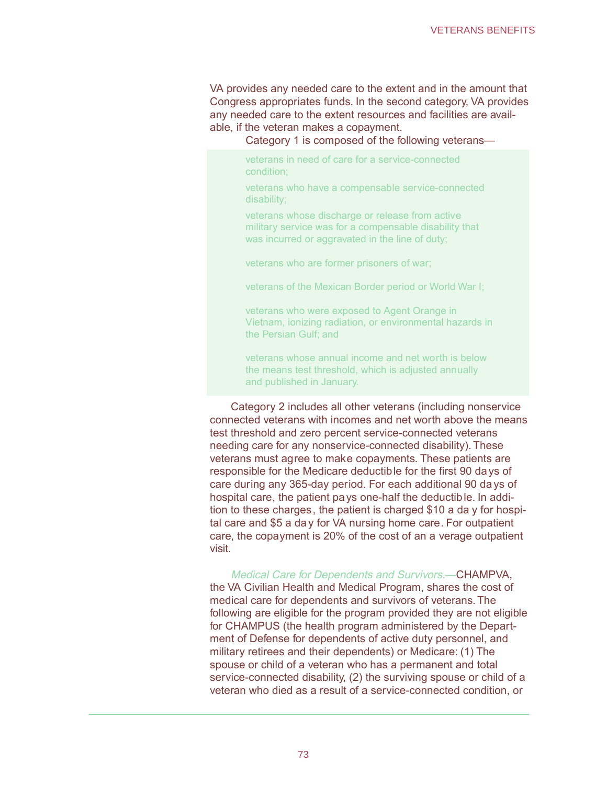VA provides any needed care to the extent and in the amount that Congress appropriates funds. In the second category, VA provides any needed care to the extent resources and facilities are available, if the veteran makes a copayment.

Category 1 is composed of the following veterans—

veterans in need of care for a service-connected condition;

veterans who have a compensable service-connected disability;

veterans whose discharge or release from active military service was for a compensable disability that was incurred or aggravated in the line of duty;

veterans who are former prisoners of war;

veterans of the Mexican Border period or World War I;

veterans who were exposed to Agent Orange in Vietnam, ionizing radiation, or environmental hazards in the Persian Gulf; and

veterans whose annual income and net worth is below the means test threshold, which is adjusted annually and published in January.

 Category 2 includes all other veterans (including nonservice connected veterans with incomes and net worth above the means test threshold and zero percent service-connected veterans needing care for any nonservice-connected disability). These veterans must agree to make copayments. These patients are responsible for the Medicare deductible for the first 90 days of care during any 365-day period. For each additional 90 da ys of hospital care, the patient pays one-half the deductible. In addition to these charges, the patient is charged \$10 a da y for hospital care and \$5 a da y for VA nursing home care. For outpatient care, the copayment is 20% of the cost of an a verage outpatient visit. VETERANS BENEFITS<br>
beeded care to the extent and in the amount that<br>
ides funds. In the second category VA provides<br>
of the extent resources and facilities are avail-<br>
is composed of the following veterans—<br>
is composed of

 Medical Care for Dependents and Survivors.—CHAMPVA, the VA Civilian Health and Medical Program, shares the cost of medical care for dependents and survivors of veterans. The following are eligible for the program provided they are not eligible for CHAMPUS (the health program administered by the Department of Defense for dependents of active duty personnel, and military retirees and their dependents) or Medicare: (1) The spouse or child of a veteran who has a permanent and total service-connected disability, (2) the surviving spouse or child of a veteran who died as a result of a service-connected condition, or